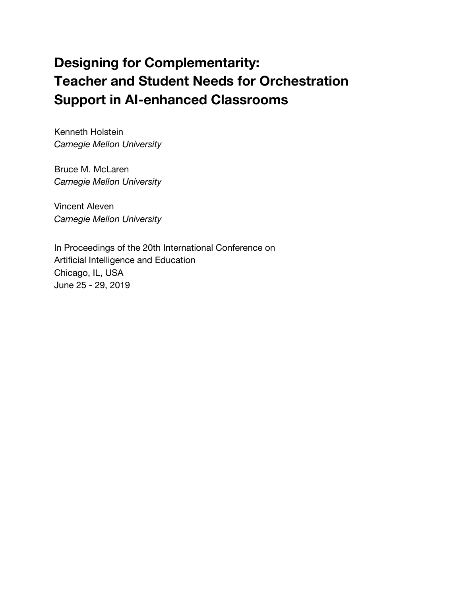# **Designing for Complementarity: Teacher and Student Needs for Orchestration Support in AI-enhanced Classrooms**

Kenneth Holstein *Carnegie Mellon University*

Bruce M. McLaren *Carnegie Mellon University*

Vincent Aleven *Carnegie Mellon University*

In Proceedings of the 20th International Conference on Artificial Intelligence and Education Chicago, IL, USA June 25 - 29, 2019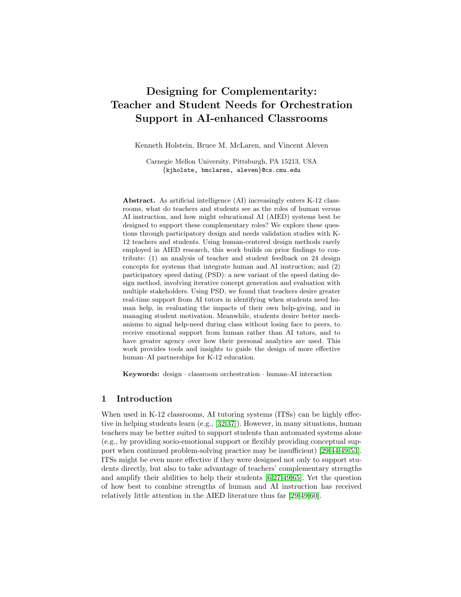# Designing for Complementarity: Teacher and Student Needs for Orchestration Support in AI-enhanced Classrooms

Kenneth Holstein, Bruce M. McLaren, and Vincent Aleven

Carnegie Mellon University, Pittsburgh, PA 15213, USA {kjholste, bmclaren, aleven}@cs.cmu.edu

Abstract. As artificial intelligence (AI) increasingly enters K-12 classrooms, what do teachers and students see as the roles of human versus AI instruction, and how might educational AI (AIED) systems best be designed to support these complementary roles? We explore these questions through participatory design and needs validation studies with K-12 teachers and students. Using human-centered design methods rarely employed in AIED research, this work builds on prior findings to contribute: (1) an analysis of teacher and student feedback on 24 design concepts for systems that integrate human and AI instruction; and (2) participatory speed dating (PSD): a new variant of the speed dating design method, involving iterative concept generation and evaluation with multiple stakeholders. Using PSD, we found that teachers desire greater real-time support from AI tutors in identifying when students need human help, in evaluating the impacts of their own help-giving, and in managing student motivation. Meanwhile, students desire better mechanisms to signal help-need during class without losing face to peers, to receive emotional support from human rather than AI tutors, and to have greater agency over how their personal analytics are used. This work provides tools and insights to guide the design of more effective human–AI partnerships for K-12 education.

Keywords: design · classroom orchestration · human-AI interaction

# 1 Introduction

When used in K-12 classrooms, AI tutoring systems (ITSs) can be highly effective in helping students learn (e.g., [\[32,](#page-12-0)[37\]](#page-13-0)). However, in many situations, human teachers may be better suited to support students than automated systems alone (e.g., by providing socio-emotional support or flexibly providing conceptual support when continued problem-solving practice may be insufficient) [\[29,](#page-12-1)[44,](#page-13-1)[49,](#page-13-2)[53\]](#page-14-0). ITSs might be even more effective if they were designed not only to support students directly, but also to take advantage of teachers' complementary strengths and amplify their abilities to help their students [\[6,](#page-11-0)[27,](#page-12-2)[49,](#page-13-2)[65\]](#page-14-1). Yet the question of how best to combine strengths of human and AI instruction has received relatively little attention in the AIED literature thus far [\[29,](#page-12-1)[49,](#page-13-2)[60\]](#page-14-2).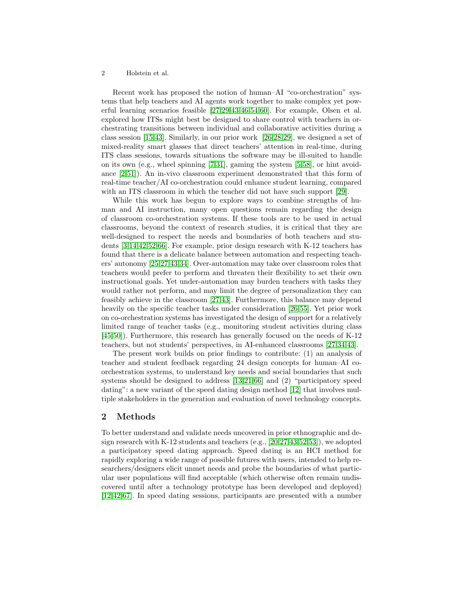Recent work has proposed the notion of human–AI "co-orchestration" systems that help teachers and AI agents work together to make complex yet powerful learning scenarios feasible [\[27,](#page-12-2)[29](#page-12-1)[,43,](#page-13-3)[46,](#page-13-4)[54,](#page-14-3)[60\]](#page-14-2). For example, Olsen et al. explored how ITSs might best be designed to share control with teachers in orchestrating transitions between individual and collaborative activities during a class session [\[15,](#page-11-1)[43\]](#page-13-3). Similarly, in our prior work [\[26,](#page-12-3)[28,](#page-12-4)[29\]](#page-12-1), we designed a set of mixed-reality smart glasses that direct teachers' attention in real-time, during ITS class sessions, towards situations the software may be ill-suited to handle on its own (e.g., wheel spinning [\[7](#page-11-2)[,31\]](#page-12-5), gaming the system [\[5,](#page-11-3)[58\]](#page-14-4), or hint avoidance [\[2,](#page-11-4)[51\]](#page-14-5)). An in-vivo classroom experiment demonstrated that this form of real-time teacher/AI co-orchestration could enhance student learning, compared with an ITS classroom in which the teacher did not have such support [\[29\]](#page-12-1).

While this work has begun to explore ways to combine strengths of human and AI instruction, many open questions remain regarding the design of classroom co-orchestration systems. If these tools are to be used in actual classrooms, beyond the context of research studies, it is critical that they are well-designed to respect the needs and boundaries of both teachers and students [\[3,](#page-11-5)[14](#page-11-6)[,42](#page-13-5)[,52,](#page-14-6)[66\]](#page-14-7). For example, prior design research with K-12 teachers has found that there is a delicate balance between automation and respecting teachers' autonomy [\[25,](#page-12-6)[27](#page-12-2)[,43,](#page-13-3)[34\]](#page-13-6). Over-automation may take over classroom roles that teachers would prefer to perform and threaten their flexibility to set their own instructional goals. Yet under-automation may burden teachers with tasks they would rather not perform, and may limit the degree of personalization they can feasibly achieve in the classroom [\[27](#page-12-2)[,43\]](#page-13-3). Furthermore, this balance may depend heavily on the specific teacher tasks under consideration [\[26,](#page-12-3)[55\]](#page-14-8). Yet prior work on co-orchestration systems has investigated the design of support for a relatively limited range of teacher tasks (e.g., monitoring student activities during class [\[45](#page-13-7)[,50\]](#page-14-9)). Furthermore, this research has generally focused on the needs of K-12 teachers, but not students' perspectives, in AI-enhanced classrooms [\[27,](#page-12-2)[34,](#page-13-6)[43\]](#page-13-3).

The present work builds on prior findings to contribute: (1) an analysis of teacher and student feedback regarding 24 design concepts for human–AI coorchestration systems, to understand key needs and social boundaries that such systems should be designed to address [\[13,](#page-11-7)[21](#page-12-7)[,66\]](#page-14-7) and (2) "participatory speed dating": a new variant of the speed dating design method [\[12\]](#page-11-8) that involves multiple stakeholders in the generation and evaluation of novel technology concepts.

# 2 Methods

To better understand and validate needs uncovered in prior ethnographic and design research with K-12 students and teachers (e.g., [\[20,](#page-12-8)[27,](#page-12-2)[43,](#page-13-3)[52,](#page-14-6)[53\]](#page-14-0)), we adopted a participatory speed dating approach. Speed dating is an HCI method for rapidly exploring a wide range of possible futures with users, intended to help researchers/designers elicit unmet needs and probe the boundaries of what particular user populations will find acceptable (which otherwise often remain undiscovered until after a technology prototype has been developed and deployed) [\[12](#page-11-8)[,42](#page-13-5)[,67\]](#page-14-10). In speed dating sessions, participants are presented with a number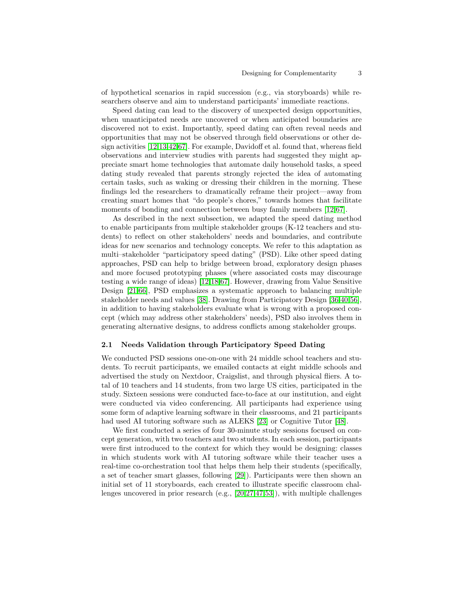of hypothetical scenarios in rapid succession (e.g., via storyboards) while researchers observe and aim to understand participants' immediate reactions.

Speed dating can lead to the discovery of unexpected design opportunities, when unanticipated needs are uncovered or when anticipated boundaries are discovered not to exist. Importantly, speed dating can often reveal needs and opportunities that may not be observed through field observations or other design activities [\[12,](#page-11-8)[13](#page-11-7)[,42,](#page-13-5)[67\]](#page-14-10). For example, Davidoff et al. found that, whereas field observations and interview studies with parents had suggested they might appreciate smart home technologies that automate daily household tasks, a speed dating study revealed that parents strongly rejected the idea of automating certain tasks, such as waking or dressing their children in the morning. These findings led the researchers to dramatically reframe their project—away from creating smart homes that "do people's chores," towards homes that facilitate moments of bonding and connection between busy family members [\[12,](#page-11-8)[67\]](#page-14-10).

As described in the next subsection, we adapted the speed dating method to enable participants from multiple stakeholder groups (K-12 teachers and students) to reflect on other stakeholders' needs and boundaries, and contribute ideas for new scenarios and technology concepts. We refer to this adaptation as multi–stakeholder "participatory speed dating" (PSD). Like other speed dating approaches, PSD can help to bridge between broad, exploratory design phases and more focused prototyping phases (where associated costs may discourage testing a wide range of ideas) [\[12](#page-11-8)[,18,](#page-12-9)[67\]](#page-14-10). However, drawing from Value Sensitive Design [\[21](#page-12-7)[,66\]](#page-14-7), PSD emphasizes a systematic approach to balancing multiple stakeholder needs and values [\[38\]](#page-13-8). Drawing from Participatory Design [\[36,](#page-13-9)[40,](#page-13-10)[56\]](#page-14-11), in addition to having stakeholders evaluate what is wrong with a proposed concept (which may address other stakeholders' needs), PSD also involves them in generating alternative designs, to address conflicts among stakeholder groups.

#### 2.1 Needs Validation through Participatory Speed Dating

We conducted PSD sessions one-on-one with 24 middle school teachers and students. To recruit participants, we emailed contacts at eight middle schools and advertised the study on Nextdoor, Craigslist, and through physical fliers. A total of 10 teachers and 14 students, from two large US cities, participated in the study. Sixteen sessions were conducted face-to-face at our institution, and eight were conducted via video conferencing. All participants had experience using some form of adaptive learning software in their classrooms, and 21 participants had used AI tutoring software such as ALEKS [\[23\]](#page-12-10) or Cognitive Tutor [\[48\]](#page-13-11).

We first conducted a series of four 30-minute study sessions focused on concept generation, with two teachers and two students. In each session, participants were first introduced to the context for which they would be designing: classes in which students work with AI tutoring software while their teacher uses a real-time co-orchestration tool that helps them help their students (specifically, a set of teacher smart glasses, following [\[29\]](#page-12-1)). Participants were then shown an initial set of 11 storyboards, each created to illustrate specific classroom challenges uncovered in prior research (e.g., [\[20,](#page-12-8)[27,](#page-12-2)[47](#page-13-12)[,53\]](#page-14-0)), with multiple challenges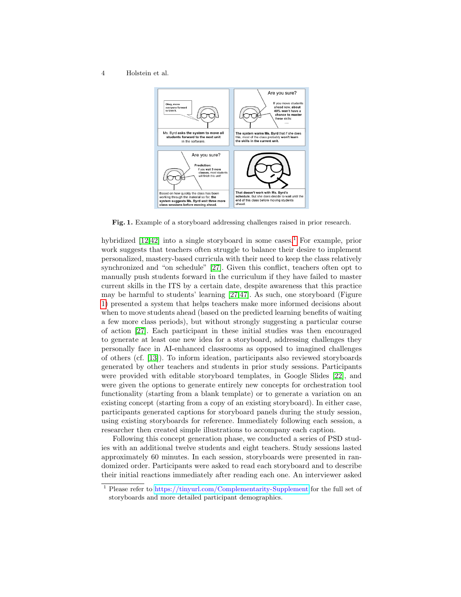

<span id="page-4-1"></span>Fig. 1. Example of a storyboard addressing challenges raised in prior research.

hybridized  $[12,42]$  $[12,42]$  into a single storyboard in some cases.<sup>[1](#page-4-0)</sup> For example, prior work suggests that teachers often struggle to balance their desire to implement personalized, mastery-based curricula with their need to keep the class relatively synchronized and "on schedule" [\[27\]](#page-12-2). Given this conflict, teachers often opt to manually push students forward in the curriculum if they have failed to master current skills in the ITS by a certain date, despite awareness that this practice may be harmful to students' learning [\[27,](#page-12-2)[47\]](#page-13-12). As such, one storyboard (Figure [1\)](#page-4-1) presented a system that helps teachers make more informed decisions about when to move students ahead (based on the predicted learning benefits of waiting a few more class periods), but without strongly suggesting a particular course of action [\[27\]](#page-12-2). Each participant in these initial studies was then encouraged to generate at least one new idea for a storyboard, addressing challenges they personally face in AI-enhanced classrooms as opposed to imagined challenges of others (cf. [\[13\]](#page-11-7)). To inform ideation, participants also reviewed storyboards generated by other teachers and students in prior study sessions. Participants were provided with editable storyboard templates, in Google Slides [\[22\]](#page-12-11), and were given the options to generate entirely new concepts for orchestration tool functionality (starting from a blank template) or to generate a variation on an existing concept (starting from a copy of an existing storyboard). In either case, participants generated captions for storyboard panels during the study session, using existing storyboards for reference. Immediately following each session, a researcher then created simple illustrations to accompany each caption.

Following this concept generation phase, we conducted a series of PSD studies with an additional twelve students and eight teachers. Study sessions lasted approximately 60 minutes. In each session, storyboards were presented in randomized order. Participants were asked to read each storyboard and to describe their initial reactions immediately after reading each one. An interviewer asked

<span id="page-4-0"></span><sup>1</sup> Please refer to <https://tinyurl.com/Complementarity-Supplement> for the full set of storyboards and more detailed participant demographics.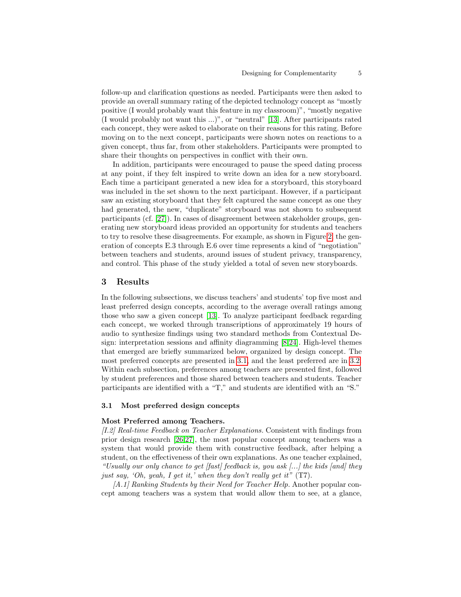follow-up and clarification questions as needed. Participants were then asked to provide an overall summary rating of the depicted technology concept as "mostly positive (I would probably want this feature in my classroom)", "mostly negative (I would probably not want this ...)", or "neutral" [\[13\]](#page-11-7). After participants rated each concept, they were asked to elaborate on their reasons for this rating. Before moving on to the next concept, participants were shown notes on reactions to a given concept, thus far, from other stakeholders. Participants were prompted to share their thoughts on perspectives in conflict with their own.

In addition, participants were encouraged to pause the speed dating process at any point, if they felt inspired to write down an idea for a new storyboard. Each time a participant generated a new idea for a storyboard, this storyboard was included in the set shown to the next participant. However, if a participant saw an existing storyboard that they felt captured the same concept as one they had generated, the new, "duplicate" storyboard was not shown to subsequent participants (cf. [\[27\]](#page-12-2)). In cases of disagreement between stakeholder groups, generating new storyboard ideas provided an opportunity for students and teachers to try to resolve these disagreements. For example, as shown in Figure [2,](#page-6-0) the generation of concepts E.3 through E.6 over time represents a kind of "negotiation" between teachers and students, around issues of student privacy, transparency, and control. This phase of the study yielded a total of seven new storyboards.

# 3 Results

In the following subsections, we discuss teachers' and students' top five most and least preferred design concepts, according to the average overall ratings among those who saw a given concept [\[13\]](#page-11-7). To analyze participant feedback regarding each concept, we worked through transcriptions of approximately 19 hours of audio to synthesize findings using two standard methods from Contextual Design: interpretation sessions and affinity diagramming [\[8,](#page-11-9)[24\]](#page-12-12). High-level themes that emerged are briefly summarized below, organized by design concept. The most preferred concepts are presented in [3.1,](#page-5-0) and the least preferred are in [3.2.](#page-8-0) Within each subsection, preferences among teachers are presented first, followed by student preferences and those shared between teachers and students. Teacher participants are identified with a "T," and students are identified with an "S."

### <span id="page-5-0"></span>3.1 Most preferred design concepts

#### Most Preferred among Teachers.

[I.2] Real-time Feedback on Teacher Explanations. Consistent with findings from prior design research [\[26](#page-12-3)[,27\]](#page-12-2), the most popular concept among teachers was a system that would provide them with constructive feedback, after helping a student, on the effectiveness of their own explanations. As one teacher explained, "Usually our only chance to get  $[fast]$  feedback is, you ask  $[...]$  the kids  $[and]$  they just say, 'Oh, yeah, I get it,' when they don't really get it"  $(T7)$ .

[A.1] Ranking Students by their Need for Teacher Help. Another popular concept among teachers was a system that would allow them to see, at a glance,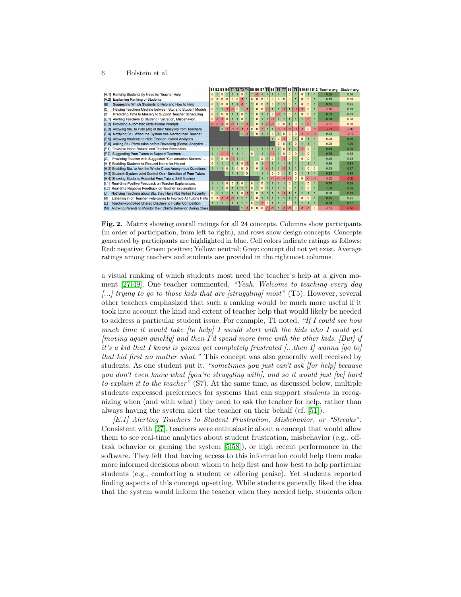|                                                             |                                                                  |                |                |          |          |              |                |          |                |          |          |                |          |          |          |          |          |          | S1 S2 S3 S4 T1 T2 T3 T4 S5 S6 S7 T5 S8 T6 T7 S9 T8 S10 S11 S12 Teacher avg. | Student avg. |
|-------------------------------------------------------------|------------------------------------------------------------------|----------------|----------------|----------|----------|--------------|----------------|----------|----------------|----------|----------|----------------|----------|----------|----------|----------|----------|----------|-----------------------------------------------------------------------------|--------------|
| Ranking Students by Need for Teacher Help<br>IA.1           |                                                                  | $\Omega$       |                | $\Omega$ |          |              |                | $\Omega$ |                |          | $-1$     | $\blacksquare$ |          |          | $\Omega$ | $\Omega$ |          |          | 0.88                                                                        | 0.50         |
| <b>Explaining Ranking of Students</b><br>[A.2]              |                                                                  | n              |                | $\Omega$ |          | $\Omega$     | $\Omega$       |          |                | $\Omega$ | $\Omega$ | $\Omega$       |          |          |          |          |          |          | 0.13                                                                        | 0.08         |
| B                                                           | Suggesting Which Students to Help and How to Help                | $\Omega$       |                | $\Omega$ |          |              |                |          |                |          | $\Omega$ | $\Omega$       | $\Omega$ |          |          |          |          |          | 0.75                                                                        | 0.25         |
| <b>ICI</b>                                                  | Helping Teachers Mediate between Stu. and Student Models         | n.             |                |          |          |              | $\Omega$       |          |                |          | $\Omega$ | $\Omega$       |          |          |          |          |          |          | $-0.38$                                                                     | 0.33         |
| וסו                                                         | Predicting Time to Mastery to Support Teacher Scheduling         | $\Omega$       |                | $\Omega$ |          |              |                |          |                |          | $\Omega$ |                |          |          |          |          | $\Omega$ |          | 0.63                                                                        | 0.33         |
| E.11                                                        | Alerting Teachers to Student Frustration, Misbehavior,           | $\mathbf{0}$   |                |          |          |              |                |          |                |          | $\Omega$ |                |          |          |          |          |          |          | 0.88                                                                        | 0.08         |
| Providing Automated Motivational Prompts<br><b>IE.21</b>    |                                                                  | $-1$           | $-1$           | $-1$     | $\Omega$ |              |                |          |                |          | $\Omega$ |                |          |          |          |          |          |          | $-0.13$                                                                     | 0.00         |
| <b>IE.31</b>                                                | Allowing Stu. to Hide (All) of their Analytics from Teachers     |                |                |          |          | $-1$         | M              |          |                |          | $\Omega$ |                |          |          |          |          | $\Omega$ | $-1$     | $-0.75$                                                                     | $-0.30$      |
| IE.41                                                       | Notifying Stu. When the System has Alerted their Teacher         |                |                |          |          |              |                | $1 - 1$  |                |          | $\Omega$ |                | $\Omega$ | $\Omega$ |          |          |          | $-1$     | 0.33                                                                        | $-0.13$      |
| [E.5]                                                       | Allowing Students to Hide Emotion-related Analytics              |                |                |          |          |              |                |          |                |          |          |                |          |          |          |          |          |          | 0.00                                                                        | 0.60         |
| IE.61                                                       | Asking Stu. Permission before Revealing (Some) Analytics         |                |                |          |          |              |                |          |                |          |          |                |          |          |          |          |          |          | 0.00                                                                        | 1.00         |
| "Invisible Hand Raises" and Teacher Reminders<br>[F.1]      |                                                                  |                | 111            |          |          |              |                |          |                |          |          |                |          |          |          |          |          |          | 0.88                                                                        | 0.75         |
| Suggesting Peer Tutors to Support Teachers<br><b>IF.21</b>  |                                                                  |                |                |          |          |              |                |          |                |          |          |                |          | n        |          |          |          |          | 0.75                                                                        | 0.25         |
| [G]                                                         | Providing Teacher with Suggested "Conversation Starters"         | $\mathbf{0}$   |                | $\Omega$ |          |              |                |          |                |          |          |                |          |          |          |          |          |          | 0.50                                                                        | 0.33         |
| [H.1] Enabling Students to Request Not to be Helped         |                                                                  | $\Omega$       |                |          |          |              |                | n        |                |          | $\Omega$ |                |          |          |          |          |          |          | 0.38                                                                        | 0.83         |
|                                                             | [H.2] Enabling Stu. to Ask the Whole Class Anonymous Questions   |                |                |          |          |              |                |          |                |          | $\Omega$ |                |          |          |          |          | $\Omega$ | $\Omega$ | 0.13                                                                        | 0.67         |
|                                                             | [H.3] Student-System Joint Control Over Selection of Peer Tutors |                |                |          |          |              |                |          | $\Omega$       |          |          |                |          |          |          |          |          |          | 0.63                                                                        | 0.89         |
| [H.4] Showing Students Potential Peer Tutors' Skill Mastery |                                                                  |                |                |          |          |              |                |          |                |          |          |                |          |          |          | $\Omega$ |          | $-1$     | $-0.25$                                                                     | $-0.50$      |
| [1.1]                                                       | Real-time Positive Feedback on Teacher Explanations.             |                | - 1            |          | $\Omega$ | $\mathbf{0}$ | $\blacksquare$ | $\Omega$ | $\overline{1}$ | $\Omega$ |          | $\mathbf{0}$   |          |          |          |          | $\Omega$ |          | 0.75                                                                        | 0.58         |
| [1.2]                                                       | Real-time Negative Feedback on Teacher Explanations.             |                |                |          |          |              |                |          |                |          |          | n              |          |          |          |          | O.       |          | 1.00                                                                        | 0.58         |
| [J]                                                         | Notifying Teachers about Stu. they Have Not Visited Recently     | $\overline{0}$ |                |          |          |              |                | $\Omega$ |                |          | $\Omega$ |                |          |          |          |          |          |          | 0.38                                                                        | 0.83         |
| ſЮ                                                          | Listening in on Teacher Help-giving to Improve AI Tutor's Hints  | $\overline{0}$ | $\mathbf{0}$   | $-1$     |          |              |                |          |                |          | $\Omega$ |                |          |          |          | $\Omega$ | $\Omega$ |          | 0.75                                                                        | 0.25         |
| [L]                                                         | Teacher-controlled Shared Displays to Foster Competition         |                | $\blacksquare$ |          |          |              |                |          |                | $\Omega$ |          |                |          |          |          |          |          |          | 0.88                                                                        | 0.67         |
| <b>TM1</b>                                                  | Allowing Parents to Monitor their Child's Behavior During Class  |                |                |          |          |              |                |          |                | $\Omega$ | $\Omega$ | $\Omega$       |          |          |          |          |          | $\Omega$ | $-0.17$                                                                     | $-0.50$      |

<span id="page-6-0"></span>Fig. 2. Matrix showing overall ratings for all 24 concepts. Columns show participants (in order of participation, from left to right), and rows show design concepts. Concepts generated by participants are highlighted in blue. Cell colors indicate ratings as follows: Red: negative; Green: positive; Yellow: neutral; Grey: concept did not yet exist. Average ratings among teachers and students are provided in the rightmost columns.

a visual ranking of which students most need the teacher's help at a given moment [\[27](#page-12-2)[,49\]](#page-13-2). One teacher commented, "Yeah. Welcome to teaching every day  $\left[\ldots\right]$  trying to go to those kids that are [struggling] most" (T5). However, several other teachers emphasized that such a ranking would be much more useful if it took into account the kind and extent of teacher help that would likely be needed to address a particular student issue. For example, T1 noted, "If I could see how much time it would take  $[to\ help]$  I would start with the kids who I could get  $[moving\ again\ quickly]$  and then I'd spend more time with the other kids.  $[But]$  if it's a kid that I know is gonna get completely frustrated [...then I] wanna [go to] that kid first no matter what." This concept was also generally well received by students. As one student put it, "sometimes you just can't ask [for help] because you don't even know what (you're struggling with), and so it would just [be] hard to explain it to the teacher" (S7). At the same time, as discussed below, multiple students expressed preferences for systems that can support students in recognizing when (and with what) they need to ask the teacher for help, rather than always having the system alert the teacher on their behalf (cf. [\[51\]](#page-14-5)).

[E.1] Alerting Teachers to Student Frustration, Misbehavior, or "Streaks". Consistent with [\[27\]](#page-12-2), teachers were enthusiastic about a concept that would allow them to see real-time analytics about student frustration, misbehavior (e.g,. offtask behavior or gaming the system [\[5,](#page-11-3)[58\]](#page-14-4)), or high recent performance in the software. They felt that having access to this information could help them make more informed decisions about whom to help first and how best to help particular students (e.g., comforting a student or offering praise). Yet students reported finding aspects of this concept upsetting. While students generally liked the idea that the system would inform the teacher when they needed help, students often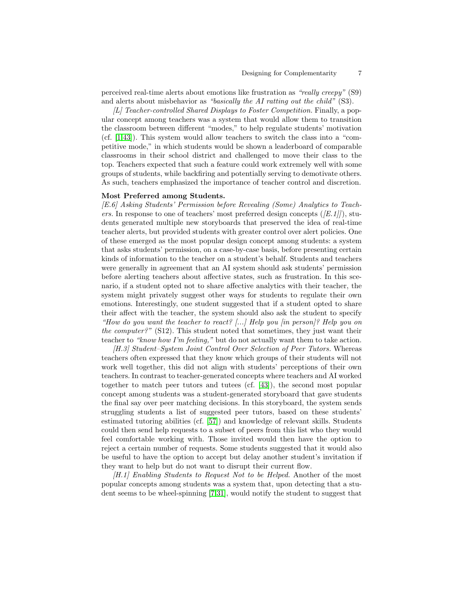perceived real-time alerts about emotions like frustration as "really creepy" (S9) and alerts about misbehavior as "basically the AI ratting out the child" (S3).

 $[L]$  Teacher-controlled Shared Displays to Foster Competition. Finally, a popular concept among teachers was a system that would allow them to transition the classroom between different "modes," to help regulate students' motivation (cf. [\[1,](#page-11-10)[43\]](#page-13-3)). This system would allow teachers to switch the class into a "competitive mode," in which students would be shown a leaderboard of comparable classrooms in their school district and challenged to move their class to the top. Teachers expected that such a feature could work extremely well with some groups of students, while backfiring and potentially serving to demotivate others. As such, teachers emphasized the importance of teacher control and discretion.

#### Most Preferred among Students.

[E.6] Asking Students' Permission before Revealing (Some) Analytics to Teachers. In response to one of teachers' most preferred design concepts  $([E.1]]$ , students generated multiple new storyboards that preserved the idea of real-time teacher alerts, but provided students with greater control over alert policies. One of these emerged as the most popular design concept among students: a system that asks students' permission, on a case-by-case basis, before presenting certain kinds of information to the teacher on a student's behalf. Students and teachers were generally in agreement that an AI system should ask students' permission before alerting teachers about affective states, such as frustration. In this scenario, if a student opted not to share affective analytics with their teacher, the system might privately suggest other ways for students to regulate their own emotions. Interestingly, one student suggested that if a student opted to share their affect with the teacher, the system should also ask the student to specify "How do you want the teacher to react? [...] Help you [in person]? Help you on the computer?" (S12). This student noted that sometimes, they just want their teacher to "know how I'm feeling," but do not actually want them to take action.

[H.3] Student–System Joint Control Over Selection of Peer Tutors. Whereas teachers often expressed that they know which groups of their students will not work well together, this did not align with students' perceptions of their own teachers. In contrast to teacher-generated concepts where teachers and AI worked together to match peer tutors and tutees (cf. [\[43\]](#page-13-3)), the second most popular concept among students was a student-generated storyboard that gave students the final say over peer matching decisions. In this storyboard, the system sends struggling students a list of suggested peer tutors, based on these students' estimated tutoring abilities (cf. [\[57\]](#page-14-12)) and knowledge of relevant skills. Students could then send help requests to a subset of peers from this list who they would feel comfortable working with. Those invited would then have the option to reject a certain number of requests. Some students suggested that it would also be useful to have the option to accept but delay another student's invitation if they want to help but do not want to disrupt their current flow.

[H.1] Enabling Students to Request Not to be Helped. Another of the most popular concepts among students was a system that, upon detecting that a student seems to be wheel-spinning [\[7,](#page-11-2)[31\]](#page-12-5), would notify the student to suggest that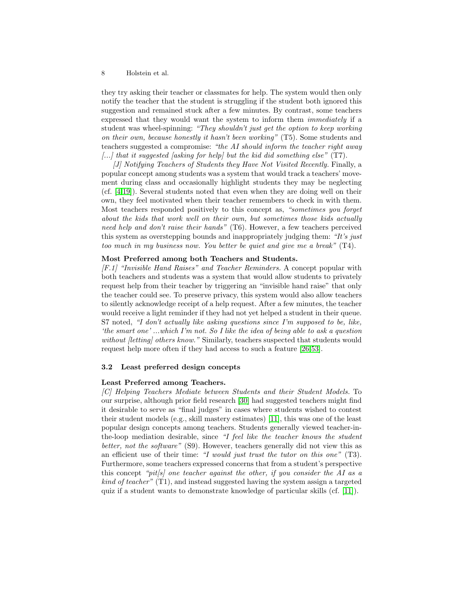they try asking their teacher or classmates for help. The system would then only notify the teacher that the student is struggling if the student both ignored this suggestion and remained stuck after a few minutes. By contrast, some teachers expressed that they would want the system to inform them immediately if a student was wheel-spinning: "They shouldn't just get the option to keep working on their own, because honestly it hasn't been working" (T5). Some students and teachers suggested a compromise: "the AI should inform the teacher right away  $\left[\ldots\right]$  that it suggested [asking for help] but the kid did something else" (T7).

[J] Notifying Teachers of Students they Have Not Visited Recently. Finally, a popular concept among students was a system that would track a teachers' movement during class and occasionally highlight students they may be neglecting (cf. [\[4,](#page-11-11)[19\]](#page-12-13)). Several students noted that even when they are doing well on their own, they feel motivated when their teacher remembers to check in with them. Most teachers responded positively to this concept as, "sometimes you forget about the kids that work well on their own, but sometimes those kids actually need help and don't raise their hands" (T6). However, a few teachers perceived this system as overstepping bounds and inappropriately judging them: "It's just too much in my business now. You better be quiet and give me a break" (T4).

# Most Preferred among both Teachers and Students.

[F.1] "Invisible Hand Raises" and Teacher Reminders. A concept popular with both teachers and students was a system that would allow students to privately request help from their teacher by triggering an "invisible hand raise" that only the teacher could see. To preserve privacy, this system would also allow teachers to silently acknowledge receipt of a help request. After a few minutes, the teacher would receive a light reminder if they had not yet helped a student in their queue. S7 noted, "I don't actually like asking questions since I'm supposed to be, like, 'the smart one' ...which I'm not. So I like the idea of being able to ask a question without *[letting]* others know." Similarly, teachers suspected that students would request help more often if they had access to such a feature [\[26,](#page-12-3)[53\]](#page-14-0).

# <span id="page-8-0"></span>3.2 Least preferred design concepts

#### Least Preferred among Teachers.

[C] Helping Teachers Mediate between Students and their Student Models. To our surprise, although prior field research [\[30\]](#page-12-14) had suggested teachers might find it desirable to serve as "final judges" in cases where students wished to contest their student models (e.g., skill mastery estimates) [\[11\]](#page-11-12), this was one of the least popular design concepts among teachers. Students generally viewed teacher-inthe-loop mediation desirable, since "I feel like the teacher knows the student better, not the software" (S9). However, teachers generally did not view this as an efficient use of their time: "I would just trust the tutor on this one"  $(T3)$ . Furthermore, some teachers expressed concerns that from a student's perspective this concept "pit/s] one teacher against the other, if you consider the AI as a kind of teacher" (T1), and instead suggested having the system assign a targeted quiz if a student wants to demonstrate knowledge of particular skills (cf. [\[11\]](#page-11-12)).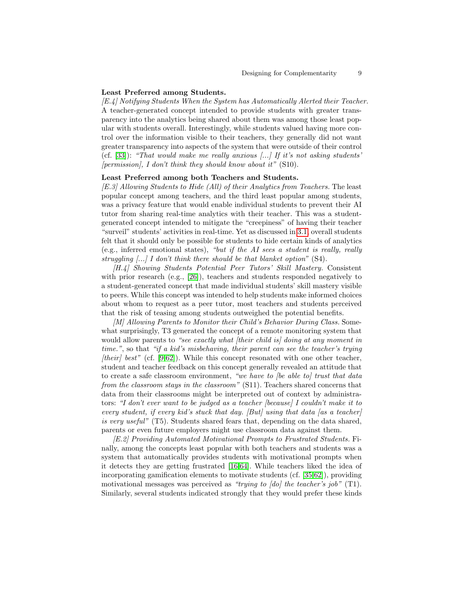#### Least Preferred among Students.

[E.4] Notifying Students When the System has Automatically Alerted their Teacher. A teacher-generated concept intended to provide students with greater transparency into the analytics being shared about them was among those least popular with students overall. Interestingly, while students valued having more control over the information visible to their teachers, they generally did not want greater transparency into aspects of the system that were outside of their control (cf.  $[33]$ ): "That would make me really anxious  $\ldots$ ) If it's not asking students'  $[permission]$ , I don't think they should know about it"  $(S10)$ .

#### Least Preferred among both Teachers and Students.

[E.3] Allowing Students to Hide (All) of their Analytics from Teachers. The least popular concept among teachers, and the third least popular among students, was a privacy feature that would enable individual students to prevent their AI tutor from sharing real-time analytics with their teacher. This was a studentgenerated concept intended to mitigate the "creepiness" of having their teacher "surveil" students' activities in real-time. Yet as discussed in [3.1,](#page-5-0) overall students felt that it should only be possible for students to hide certain kinds of analytics (e.g., inferred emotional states), "but if the AI sees a student is really, really struggling [...] I don't think there should be that blanket option" (S4).

[H.4] Showing Students Potential Peer Tutors' Skill Mastery. Consistent with prior research (e.g., [\[26\]](#page-12-3)), teachers and students responded negatively to a student-generated concept that made individual students' skill mastery visible to peers. While this concept was intended to help students make informed choices about whom to request as a peer tutor, most teachers and students perceived that the risk of teasing among students outweighed the potential benefits.

[M] Allowing Parents to Monitor their Child's Behavior During Class. Somewhat surprisingly, T3 generated the concept of a remote monitoring system that would allow parents to "see exactly what *ftheir child is doing at any moment in* time.", so that "if a kid's misbehaving, their parent can see the teacher's trying  $[their] best"$  (cf. [\[9](#page-11-13)[,62\]](#page-14-13)). While this concept resonated with one other teacher, student and teacher feedback on this concept generally revealed an attitude that to create a safe classroom environment, "we have to *[be able to]* trust that data from the classroom stays in the classroom" (S11). Teachers shared concerns that data from their classrooms might be interpreted out of context by administrators: "I don't ever want to be judged as a teacher [because] I couldn't make it to every student, if every kid's stuck that day.  $[But]$  using that data [as a teacher] is very useful" (T5). Students shared fears that, depending on the data shared, parents or even future employers might use classroom data against them.

[E.2] Providing Automated Motivational Prompts to Frustrated Students. Finally, among the concepts least popular with both teachers and students was a system that automatically provides students with motivational prompts when it detects they are getting frustrated [\[16,](#page-12-15)[64\]](#page-14-14). While teachers liked the idea of incorporating gamification elements to motivate students (cf. [\[35](#page-13-14)[,62\]](#page-14-13)), providing motivational messages was perceived as "trying to [do] the teacher's job" (T1). Similarly, several students indicated strongly that they would prefer these kinds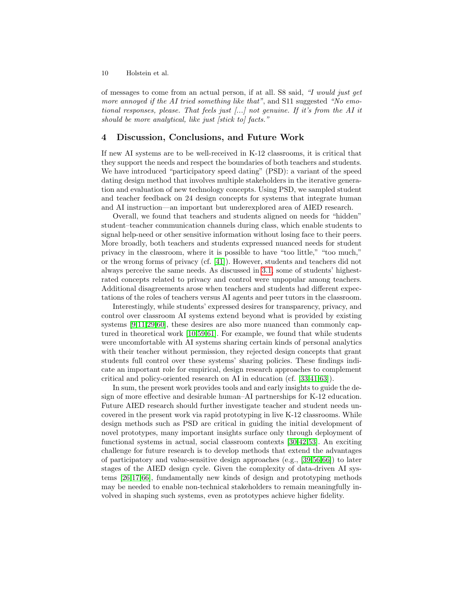of messages to come from an actual person, if at all. S8 said, "I would just get more annoyed if the AI tried something like that", and S11 suggested "No emotional responses, please. That feels just [...] not genuine. If it's from the AI it should be more analytical, like just [stick to] facts."

# 4 Discussion, Conclusions, and Future Work

If new AI systems are to be well-received in K-12 classrooms, it is critical that they support the needs and respect the boundaries of both teachers and students. We have introduced "participatory speed dating" (PSD): a variant of the speed dating design method that involves multiple stakeholders in the iterative generation and evaluation of new technology concepts. Using PSD, we sampled student and teacher feedback on 24 design concepts for systems that integrate human and AI instruction—an important but underexplored area of AIED research.

Overall, we found that teachers and students aligned on needs for "hidden" student–teacher communication channels during class, which enable students to signal help-need or other sensitive information without losing face to their peers. More broadly, both teachers and students expressed nuanced needs for student privacy in the classroom, where it is possible to have "too little," "too much," or the wrong forms of privacy (cf. [\[41\]](#page-13-15)). However, students and teachers did not always perceive the same needs. As discussed in [3.1,](#page-5-0) some of students' highestrated concepts related to privacy and control were unpopular among teachers. Additional disagreements arose when teachers and students had different expectations of the roles of teachers versus AI agents and peer tutors in the classroom.

Interestingly, while students' expressed desires for transparency, privacy, and control over classroom AI systems extend beyond what is provided by existing systems [\[9,](#page-11-13)[11,](#page-11-12)[29,](#page-12-1)[60\]](#page-14-2), these desires are also more nuanced than commonly captured in theoretical work [\[10,](#page-11-14)[59](#page-14-15)[,61\]](#page-14-16). For example, we found that while students were uncomfortable with AI systems sharing certain kinds of personal analytics with their teacher without permission, they rejected design concepts that grant students full control over these systems' sharing policies. These findings indicate an important role for empirical, design research approaches to complement critical and policy-oriented research on AI in education (cf. [\[33,](#page-13-13)[41,](#page-13-15)[63\]](#page-14-17)).

In sum, the present work provides tools and and early insights to guide the design of more effective and desirable human–AI partnerships for K-12 education. Future AIED research should further investigate teacher and student needs uncovered in the present work via rapid prototyping in live K-12 classrooms. While design methods such as PSD are critical in guiding the initial development of novel prototypes, many important insights surface only through deployment of functional systems in actual, social classroom contexts [\[30,](#page-12-14)[42,](#page-13-5)[53\]](#page-14-0). An exciting challenge for future research is to develop methods that extend the advantages of participatory and value-sensitive design approaches (e.g., [\[39,](#page-13-16)[56,](#page-14-11)[66\]](#page-14-7)) to later stages of the AIED design cycle. Given the complexity of data-driven AI systems [\[26](#page-12-3)[,17](#page-12-16)[,66\]](#page-14-7), fundamentally new kinds of design and prototyping methods may be needed to enable non-technical stakeholders to remain meaningfully involved in shaping such systems, even as prototypes achieve higher fidelity.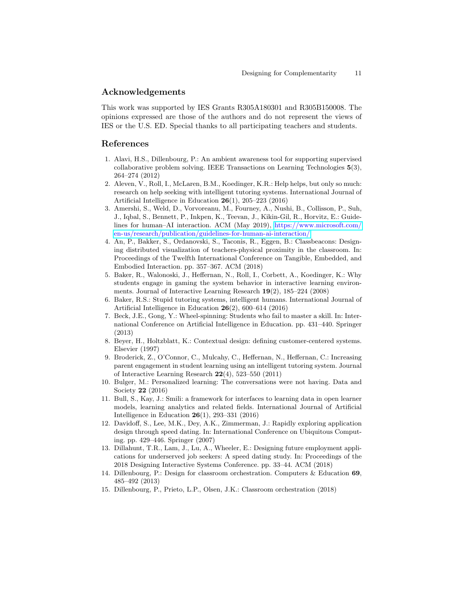# Acknowledgements

This work was supported by IES Grants R305A180301 and R305B150008. The opinions expressed are those of the authors and do not represent the views of IES or the U.S. ED. Special thanks to all participating teachers and students.

# References

- <span id="page-11-10"></span>1. Alavi, H.S., Dillenbourg, P.: An ambient awareness tool for supporting supervised collaborative problem solving. IEEE Transactions on Learning Technologies 5(3), 264–274 (2012)
- <span id="page-11-4"></span>2. Aleven, V., Roll, I., McLaren, B.M., Koedinger, K.R.: Help helps, but only so much: research on help seeking with intelligent tutoring systems. International Journal of Artificial Intelligence in Education 26(1), 205–223 (2016)
- <span id="page-11-5"></span>3. Amershi, S., Weld, D., Vorvoreanu, M., Fourney, A., Nushi, B., Collisson, P., Suh, J., Iqbal, S., Bennett, P., Inkpen, K., Teevan, J., Kikin-Gil, R., Horvitz, E.: Guidelines for human–AI interaction. ACM (May 2019), [https://www.microsoft.com/](https://www.microsoft.com/en-us/research/publication/guidelines-for-human-ai-interaction/) [en-us/research/publication/guidelines-for-human-ai-interaction/](https://www.microsoft.com/en-us/research/publication/guidelines-for-human-ai-interaction/)
- <span id="page-11-11"></span>4. An, P., Bakker, S., Ordanovski, S., Taconis, R., Eggen, B.: Classbeacons: Designing distributed visualization of teachers-physical proximity in the classroom. In: Proceedings of the Twelfth International Conference on Tangible, Embedded, and Embodied Interaction. pp. 357–367. ACM (2018)
- <span id="page-11-3"></span>5. Baker, R., Walonoski, J., Heffernan, N., Roll, I., Corbett, A., Koedinger, K.: Why students engage in gaming the system behavior in interactive learning environments. Journal of Interactive Learning Research 19(2), 185–224 (2008)
- <span id="page-11-0"></span>6. Baker, R.S.: Stupid tutoring systems, intelligent humans. International Journal of Artificial Intelligence in Education 26(2), 600–614 (2016)
- <span id="page-11-2"></span>7. Beck, J.E., Gong, Y.: Wheel-spinning: Students who fail to master a skill. In: International Conference on Artificial Intelligence in Education. pp. 431–440. Springer (2013)
- <span id="page-11-9"></span>8. Beyer, H., Holtzblatt, K.: Contextual design: defining customer-centered systems. Elsevier (1997)
- <span id="page-11-13"></span>9. Broderick, Z., O'Connor, C., Mulcahy, C., Heffernan, N., Heffernan, C.: Increasing parent engagement in student learning using an intelligent tutoring system. Journal of Interactive Learning Research 22(4), 523–550 (2011)
- <span id="page-11-14"></span>10. Bulger, M.: Personalized learning: The conversations were not having. Data and Society 22 (2016)
- <span id="page-11-12"></span>11. Bull, S., Kay, J.: Smili: a framework for interfaces to learning data in open learner models, learning analytics and related fields. International Journal of Artificial Intelligence in Education 26(1), 293–331 (2016)
- <span id="page-11-8"></span>12. Davidoff, S., Lee, M.K., Dey, A.K., Zimmerman, J.: Rapidly exploring application design through speed dating. In: International Conference on Ubiquitous Computing. pp. 429–446. Springer (2007)
- <span id="page-11-7"></span>13. Dillahunt, T.R., Lam, J., Lu, A., Wheeler, E.: Designing future employment applications for underserved job seekers: A speed dating study. In: Proceedings of the 2018 Designing Interactive Systems Conference. pp. 33–44. ACM (2018)
- <span id="page-11-6"></span>14. Dillenbourg, P.: Design for classroom orchestration. Computers & Education 69, 485–492 (2013)
- <span id="page-11-1"></span>15. Dillenbourg, P., Prieto, L.P., Olsen, J.K.: Classroom orchestration (2018)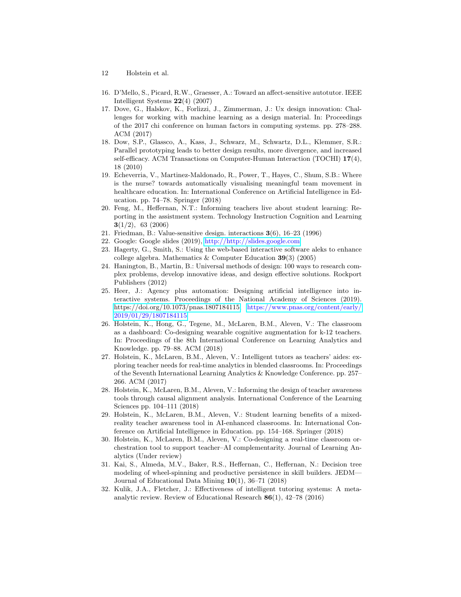- 12 Holstein et al.
- <span id="page-12-15"></span>16. D'Mello, S., Picard, R.W., Graesser, A.: Toward an affect-sensitive autotutor. IEEE Intelligent Systems 22(4) (2007)
- <span id="page-12-16"></span>17. Dove, G., Halskov, K., Forlizzi, J., Zimmerman, J.: Ux design innovation: Challenges for working with machine learning as a design material. In: Proceedings of the 2017 chi conference on human factors in computing systems. pp. 278–288. ACM (2017)
- <span id="page-12-9"></span>18. Dow, S.P., Glassco, A., Kass, J., Schwarz, M., Schwartz, D.L., Klemmer, S.R.: Parallel prototyping leads to better design results, more divergence, and increased self-efficacy. ACM Transactions on Computer-Human Interaction (TOCHI) 17(4), 18 (2010)
- <span id="page-12-13"></span>19. Echeverria, V., Martinez-Maldonado, R., Power, T., Hayes, C., Shum, S.B.: Where is the nurse? towards automatically visualising meaningful team movement in healthcare education. In: International Conference on Artificial Intelligence in Education. pp. 74–78. Springer (2018)
- <span id="page-12-8"></span>20. Feng, M., Heffernan, N.T.: Informing teachers live about student learning: Reporting in the assistment system. Technology Instruction Cognition and Learning  $3(1/2)$ , 63 (2006)
- <span id="page-12-7"></span>21. Friedman, B.: Value-sensitive design. interactions 3(6), 16–23 (1996)
- <span id="page-12-11"></span>22. Google: Google slides (2019), <http://http://slides.google.com>
- <span id="page-12-10"></span>23. Hagerty, G., Smith, S.: Using the web-based interactive software aleks to enhance college algebra. Mathematics  $&$  Computer Education 39(3) (2005)
- <span id="page-12-12"></span>24. Hanington, B., Martin, B.: Universal methods of design: 100 ways to research complex problems, develop innovative ideas, and design effective solutions. Rockport Publishers (2012)
- <span id="page-12-6"></span>25. Heer, J.: Agency plus automation: Designing artificial intelligence into interactive systems. Proceedings of the National Academy of Sciences (2019). [https://doi.org/10.1073/pnas.1807184115,](https://doi.org/10.1073/pnas.1807184115) [https://www.pnas.org/content/early/](https://www.pnas.org/content/early/2019/01/29/1807184115) [2019/01/29/1807184115](https://www.pnas.org/content/early/2019/01/29/1807184115)
- <span id="page-12-3"></span>26. Holstein, K., Hong, G., Tegene, M., McLaren, B.M., Aleven, V.: The classroom as a dashboard: Co-designing wearable cognitive augmentation for k-12 teachers. In: Proceedings of the 8th International Conference on Learning Analytics and Knowledge. pp. 79–88. ACM (2018)
- <span id="page-12-2"></span>27. Holstein, K., McLaren, B.M., Aleven, V.: Intelligent tutors as teachers' aides: exploring teacher needs for real-time analytics in blended classrooms. In: Proceedings of the Seventh International Learning Analytics & Knowledge Conference. pp. 257– 266. ACM (2017)
- <span id="page-12-4"></span>28. Holstein, K., McLaren, B.M., Aleven, V.: Informing the design of teacher awareness tools through causal alignment analysis. International Conference of the Learning Sciences pp. 104–111 (2018)
- <span id="page-12-1"></span>29. Holstein, K., McLaren, B.M., Aleven, V.: Student learning benefits of a mixedreality teacher awareness tool in AI-enhanced classrooms. In: International Conference on Artificial Intelligence in Education. pp. 154–168. Springer (2018)
- <span id="page-12-14"></span>30. Holstein, K., McLaren, B.M., Aleven, V.: Co-designing a real-time classroom orchestration tool to support teacher–AI complementarity. Journal of Learning Analytics (Under review)
- <span id="page-12-5"></span>31. Kai, S., Almeda, M.V., Baker, R.S., Heffernan, C., Heffernan, N.: Decision tree modeling of wheel-spinning and productive persistence in skill builders. JEDM— Journal of Educational Data Mining 10(1), 36–71 (2018)
- <span id="page-12-0"></span>32. Kulik, J.A., Fletcher, J.: Effectiveness of intelligent tutoring systems: A metaanalytic review. Review of Educational Research 86(1), 42–78 (2016)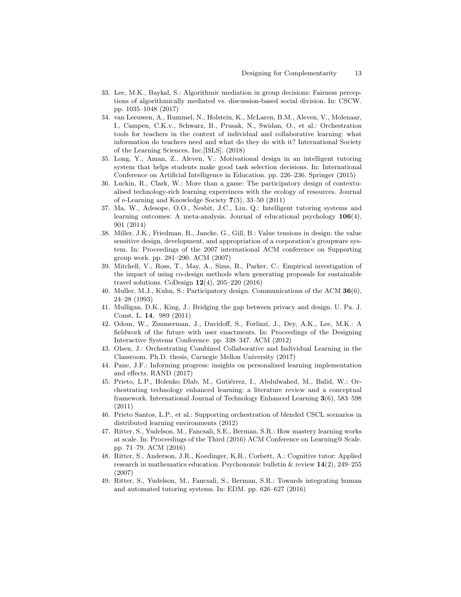- <span id="page-13-13"></span>33. Lee, M.K., Baykal, S.: Algorithmic mediation in group decisions: Fairness perceptions of algorithmically mediated vs. discussion-based social division. In: CSCW. pp. 1035–1048 (2017)
- <span id="page-13-6"></span>34. van Leeuwen, A., Rummel, N., Holstein, K., McLaren, B.M., Aleven, V., Molenaar, I., Campen, C.K.v., Schwarz, B., Prusak, N., Swidan, O., et al.: Orchestration tools for teachers in the context of individual and collaborative learning: what information do teachers need and what do they do with it? International Society of the Learning Sciences, Inc.[ISLS]. (2018)
- <span id="page-13-14"></span>35. Long, Y., Aman, Z., Aleven, V.: Motivational design in an intelligent tutoring system that helps students make good task selection decisions. In: International Conference on Artificial Intelligence in Education. pp. 226–236. Springer (2015)
- <span id="page-13-9"></span>36. Luckin, R., Clark, W.: More than a game: The participatory design of contextualised technology-rich learning expereinces with the ecology of resources. Journal of e-Learning and Knowledge Society 7(3), 33–50 (2011)
- <span id="page-13-0"></span>37. Ma, W., Adesope, O.O., Nesbit, J.C., Liu, Q.: Intelligent tutoring systems and learning outcomes: A meta-analysis. Journal of educational psychology 106(4), 901 (2014)
- <span id="page-13-8"></span>38. Miller, J.K., Friedman, B., Jancke, G., Gill, B.: Value tensions in design: the value sensitive design, development, and appropriation of a corporation's groupware system. In: Proceedings of the 2007 international ACM conference on Supporting group work. pp. 281–290. ACM (2007)
- <span id="page-13-16"></span>39. Mitchell, V., Ross, T., May, A., Sims, R., Parker, C.: Empirical investigation of the impact of using co-design methods when generating proposals for sustainable travel solutions. CoDesign  $12(4)$ ,  $205-220$   $(2016)$
- <span id="page-13-10"></span>40. Muller, M.J., Kuhn, S.: Participatory design. Communications of the ACM 36(6), 24–28 (1993)
- <span id="page-13-15"></span>41. Mulligan, D.K., King, J.: Bridging the gap between privacy and design. U. Pa. J. Const. L. 14, 989 (2011)
- <span id="page-13-5"></span>42. Odom, W., Zimmerman, J., Davidoff, S., Forlizzi, J., Dey, A.K., Lee, M.K.: A fieldwork of the future with user enactments. In: Proceedings of the Designing Interactive Systems Conference. pp. 338–347. ACM (2012)
- <span id="page-13-3"></span>43. Olsen, J.: Orchestrating Combined Collaborative and Individual Learning in the Classroom. Ph.D. thesis, Carnegie Mellon University (2017)
- <span id="page-13-1"></span>44. Pane, J.F.: Informing progress: insights on personalized learning implementation and effects. RAND (2017)
- <span id="page-13-7"></span>45. Prieto, L.P., Holenko Dlab, M., Gutiérrez, I., Abdulwahed, M., Balid, W.: Orchestrating technology enhanced learning: a literature review and a conceptual framework. International Journal of Technology Enhanced Learning 3(6), 583–598 (2011)
- <span id="page-13-4"></span>46. Prieto Santos, L.P., et al.: Supporting orchestration of blended CSCL scenarios in distributed learning environments (2012)
- <span id="page-13-12"></span>47. Ritter, S., Yudelson, M., Fancsali, S.E., Berman, S.R.: How mastery learning works at scale. In: Proceedings of the Third (2016) ACM Conference on Learning@ Scale. pp. 71–79. ACM (2016)
- <span id="page-13-11"></span>48. Ritter, S., Anderson, J.R., Koedinger, K.R., Corbett, A.: Cognitive tutor: Applied research in mathematics education. Psychonomic bulletin  $\&$  review  $14(2)$ , 249–255 (2007)
- <span id="page-13-2"></span>49. Ritter, S., Yudelson, M., Fancsali, S., Berman, S.R.: Towards integrating human and automated tutoring systems. In: EDM. pp. 626–627 (2016)